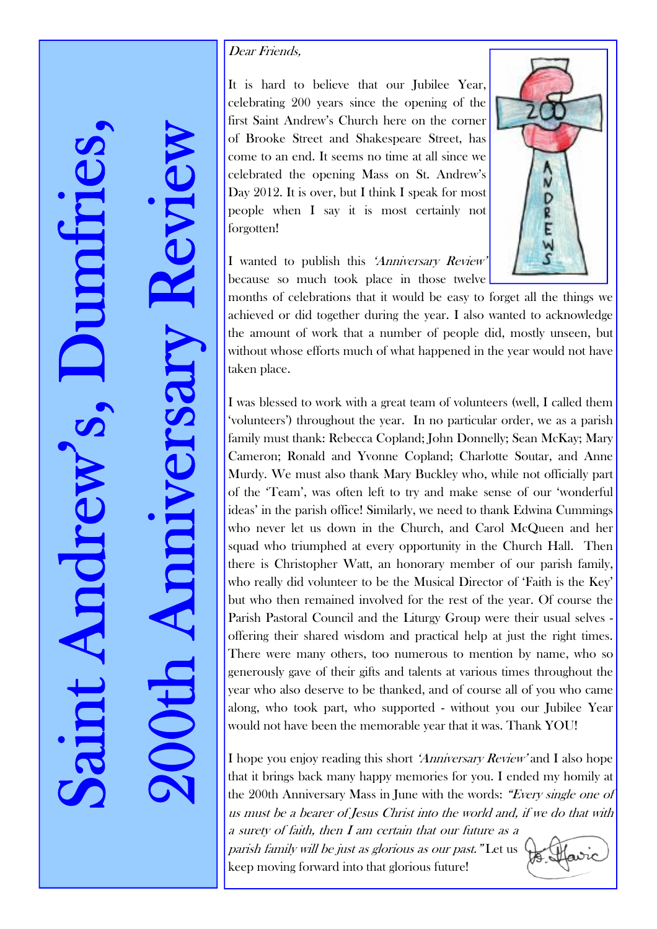200th Anniversary Review

E

## Dear Friends,

It is hard to believe that our Jubilee Year, celebrating 200 years since the opening of the first Saint Andrew's Church here on the corner of Brooke Street and Shakespeare Street, has come to an end. It seems no time at all since we celebrated the opening Mass on St. Andrew's Day 2012. It is over, but I think I speak for most people when I say it is most certainly not forgotten!

I wanted to publish this 'Anniversary Review' because so much took place in those twelve



months of celebrations that it would be easy to forget all the things we achieved or did together during the year. I also wanted to acknowledge the amount of work that a number of people did, mostly unseen, but without whose efforts much of what happened in the year would not have taken place.

I was blessed to work with a great team of volunteers (well, I called them 'volunteers') throughout the year. In no particular order, we as a parish family must thank: Rebecca Copland; John Donnelly; Sean McKay; Mary Cameron; Ronald and Yvonne Copland; Charlotte Soutar, and Anne Murdy. We must also thank Mary Buckley who, while not officially part of the 'Team', was often left to try and make sense of our 'wonderful ideas' in the parish office! Similarly, we need to thank Edwina Cummings who never let us down in the Church, and Carol McQueen and her squad who triumphed at every opportunity in the Church Hall. Then there is Christopher Watt, an honorary member of our parish family, who really did volunteer to be the Musical Director of 'Faith is the Key' but who then remained involved for the rest of the year. Of course the Parish Pastoral Council and the Liturgy Group were their usual selves offering their shared wisdom and practical help at just the right times. There were many others, too numerous to mention by name, who so generously gave of their gifts and talents at various times throughout the year who also deserve to be thanked, and of course all of you who came along, who took part, who supported - without you our Jubilee Year would not have been the memorable year that it was. Thank YOU!

I hope you enjoy reading this short 'Anniversary Review' and I also hope that it brings back many happy memories for you. I ended my homily at the 200th Anniversary Mass in June with the words: "Every single one of us must be a bearer of Jesus Christ into the world and, if we do that with

a surety of faith, then I am certain that our future as a parish family will be just as glorious as our past." Let us keep moving forward into that glorious future!

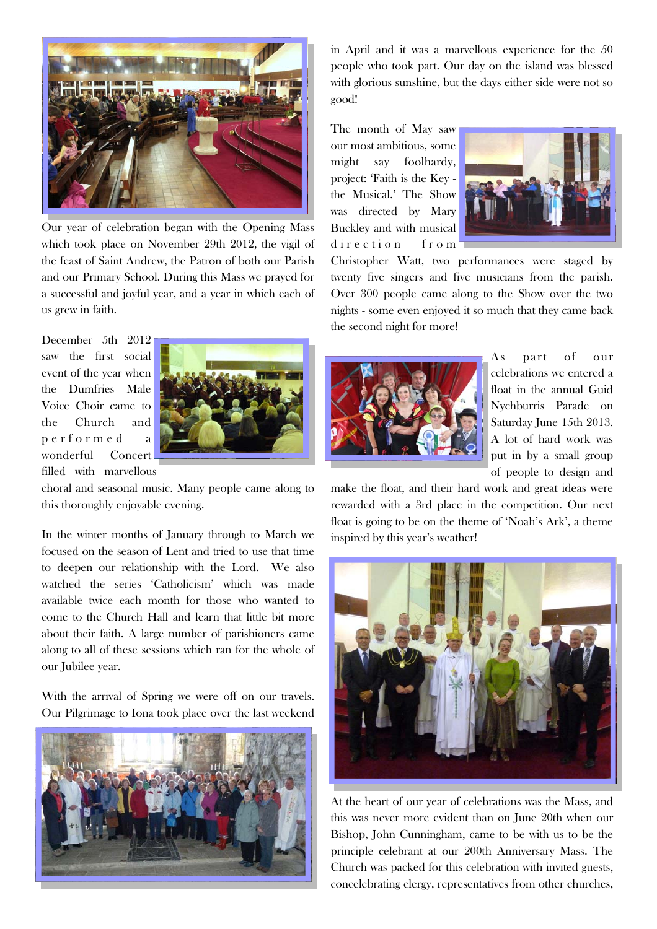

Our year of celebration began with the Opening Mass which took place on November 29th 2012, the vigil of the feast of Saint Andrew, the Patron of both our Parish and our Primary School. During this Mass we prayed for a successful and joyful year, and a year in which each of us grew in faith.

December 5th 2012 saw the first social event of the year when the Dumfries Male Voice Choir came to the Church and p e r f o r m e d a wonderful Concert filled with marvellous



choral and seasonal music. Many people came along to this thoroughly enjoyable evening.

In the winter months of January through to March we focused on the season of Lent and tried to use that time to deepen our relationship with the Lord. We also watched the series 'Catholicism' which was made available twice each month for those who wanted to come to the Church Hall and learn that little bit more about their faith. A large number of parishioners came along to all of these sessions which ran for the whole of our Jubilee year.

With the arrival of Spring we were off on our travels. Our Pilgrimage to Iona took place over the last weekend



in April and it was a marvellous experience for the 50 people who took part. Our day on the island was blessed with glorious sunshine, but the days either side were not so good!

The month of May saw our most ambitious, some might say foolhardy, project: 'Faith is the Key the Musical.' The Show was directed by Mary Buckley and with musical direction from



Christopher Watt, two performances were staged by twenty five singers and five musicians from the parish. Over 300 people came along to the Show over the two nights - some even enjoyed it so much that they came back the second night for more!



As part of our celebrations we entered a float in the annual Guid Nychburris Parade on Saturday June 15th 2013. A lot of hard work was put in by a small group of people to design and

make the float, and their hard work and great ideas were rewarded with a 3rd place in the competition. Our next float is going to be on the theme of 'Noah's Ark', a theme inspired by this year's weather!



At the heart of our year of celebrations was the Mass, and this was never more evident than on June 20th when our Bishop, John Cunningham, came to be with us to be the principle celebrant at our 200th Anniversary Mass. The Church was packed for this celebration with invited guests, concelebrating clergy, representatives from other churches,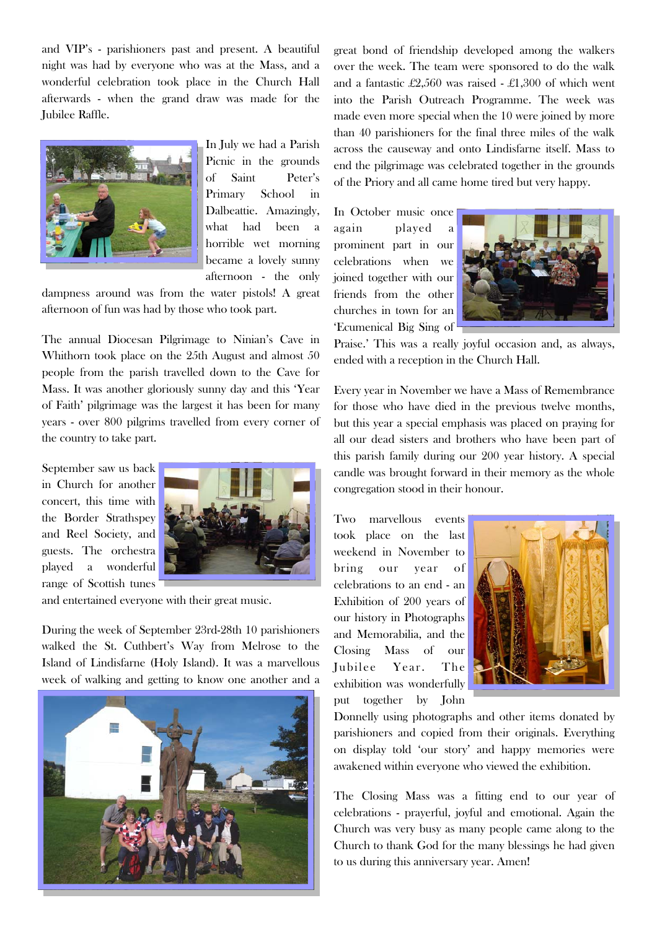and VIP's - parishioners past and present. A beautiful night was had by everyone who was at the Mass, and a wonderful celebration took place in the Church Hall afterwards - when the grand draw was made for the Jubilee Raffle.



In July we had a Parish Picnic in the grounds of Saint Peter's Primary School in Dalbeattie. Amazingly, what had been a horrible wet morning became a lovely sunny afternoon - the only

dampness around was from the water pistols! A great afternoon of fun was had by those who took part.

The annual Diocesan Pilgrimage to Ninian's Cave in Whithorn took place on the 25th August and almost 50 people from the parish travelled down to the Cave for Mass. It was another gloriously sunny day and this 'Year of Faith' pilgrimage was the largest it has been for many years - over 800 pilgrims travelled from every corner of the country to take part.

September saw us back in Church for another concert, this time with the Border Strathspey and Reel Society, and guests. The orchestra played a wonderful range of Scottish tunes



and entertained everyone with their great music.

During the week of September 23rd-28th 10 parishioners walked the St. Cuthbert's Way from Melrose to the Island of Lindisfarne (Holy Island). It was a marvellous week of walking and getting to know one another and a



great bond of friendship developed among the walkers over the week. The team were sponsored to do the walk and a fantastic £2,560 was raised - £1,300 of which went into the Parish Outreach Programme. The week was made even more special when the 10 were joined by more than 40 parishioners for the final three miles of the walk across the causeway and onto Lindisfarne itself. Mass to end the pilgrimage was celebrated together in the grounds of the Priory and all came home tired but very happy.

In October music once again played a prominent part in our celebrations when we joined together with our friends from the other churches in town for an 'Ecumenical Big Sing of



Praise.' This was a really joyful occasion and, as always, ended with a reception in the Church Hall.

Every year in November we have a Mass of Remembrance for those who have died in the previous twelve months, but this year a special emphasis was placed on praying for all our dead sisters and brothers who have been part of this parish family during our 200 year history. A special candle was brought forward in their memory as the whole congregation stood in their honour.

Two marvellous events took place on the last weekend in November to bring our year of celebrations to an end - an Exhibition of 200 years of our history in Photographs and Memorabilia, and the Closing Mass of our Jubilee Year. The exhibition was wonderfully put together by John



Donnelly using photographs and other items donated by parishioners and copied from their originals. Everything on display told 'our story' and happy memories were awakened within everyone who viewed the exhibition.

The Closing Mass was a fitting end to our year of celebrations - prayerful, joyful and emotional. Again the Church was very busy as many people came along to the Church to thank God for the many blessings he had given to us during this anniversary year. Amen!